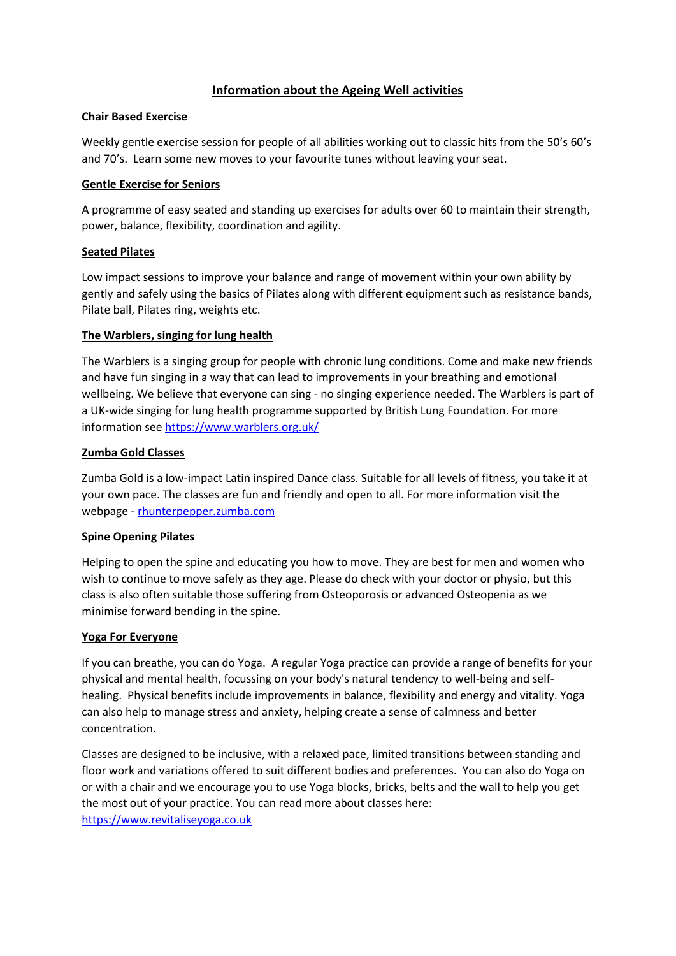# **Information about the Ageing Well activities**

## **Chair Based Exercise**

Weekly gentle exercise session for people of all abilities working out to classic hits from the 50's 60's and 70's. Learn some new moves to your favourite tunes without leaving your seat.

## **Gentle Exercise for Seniors**

A programme of easy seated and standing up exercises for adults over 60 to maintain their strength, power, balance, flexibility, coordination and agility.

## **Seated Pilates**

Low impact sessions to improve your balance and range of movement within your own ability by gently and safely using the basics of Pilates along with different equipment such as resistance bands, Pilate ball, Pilates ring, weights etc.

## **The Warblers, singing for lung health**

The Warblers is a singing group for people with chronic lung conditions. Come and make new friends and have fun singing in a way that can lead to improvements in your breathing and emotional wellbeing. We believe that everyone can sing - no singing experience needed. The Warblers is part of a UK-wide singing for lung health programme supported by British Lung Foundation. For more information see<https://www.warblers.org.uk/>

## **Zumba Gold Classes**

Zumba Gold is a low-impact Latin inspired Dance class. Suitable for all levels of fitness, you take it at your own pace. The classes are fun and friendly and open to all. For more information visit the webpage - [rhunterpepper.zumba.com](http://rhunterpepper.zumba.com/)

## **Spine Opening Pilates**

Helping to open the spine and educating you how to move. They are best for men and women who wish to continue to move safely as they age. Please do check with your doctor or physio, but this class is also often suitable those suffering from Osteoporosis or advanced Osteopenia as we minimise forward bending in the spine.

#### **Yoga For Everyone**

If you can breathe, you can do Yoga. A regular Yoga practice can provide a range of benefits for your physical and mental health, focussing on your body's natural tendency to well-being and selfhealing. Physical benefits include improvements in balance, flexibility and energy and vitality. Yoga can also help to manage stress and anxiety, helping create a sense of calmness and better concentration.

Classes are designed to be inclusive, with a relaxed pace, limited transitions between standing and floor work and variations offered to suit different bodies and preferences. You can also do Yoga on or with a chair and we encourage you to use Yoga blocks, bricks, belts and the wall to help you get the most out of your practice. You can read more about classes here: [https://www.revitaliseyoga.co.uk](https://www.revitaliseyoga.co.uk/)